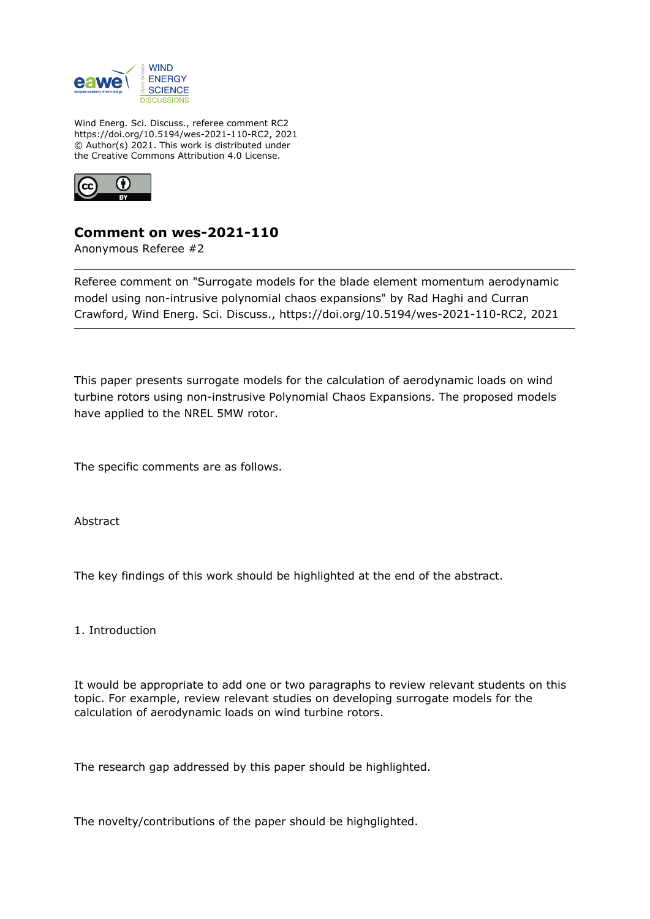

Wind Energ. Sci. Discuss., referee comment RC2 https://doi.org/10.5194/wes-2021-110-RC2, 2021 © Author(s) 2021. This work is distributed under the Creative Commons Attribution 4.0 License.



## **Comment on wes-2021-110**

Anonymous Referee #2

Referee comment on "Surrogate models for the blade element momentum aerodynamic model using non-intrusive polynomial chaos expansions" by Rad Haghi and Curran Crawford, Wind Energ. Sci. Discuss., https://doi.org/10.5194/wes-2021-110-RC2, 2021

This paper presents surrogate models for the calculation of aerodynamic loads on wind turbine rotors using non-instrusive Polynomial Chaos Expansions. The proposed models have applied to the NREL 5MW rotor.

The specific comments are as follows.

Abstract

The key findings of this work should be highlighted at the end of the abstract.

1. Introduction

It would be appropriate to add one or two paragraphs to review relevant students on this topic. For example, review relevant studies on developing surrogate models for the calculation of aerodynamic loads on wind turbine rotors.

The research gap addressed by this paper should be highlighted.

The novelty/contributions of the paper should be highglighted.